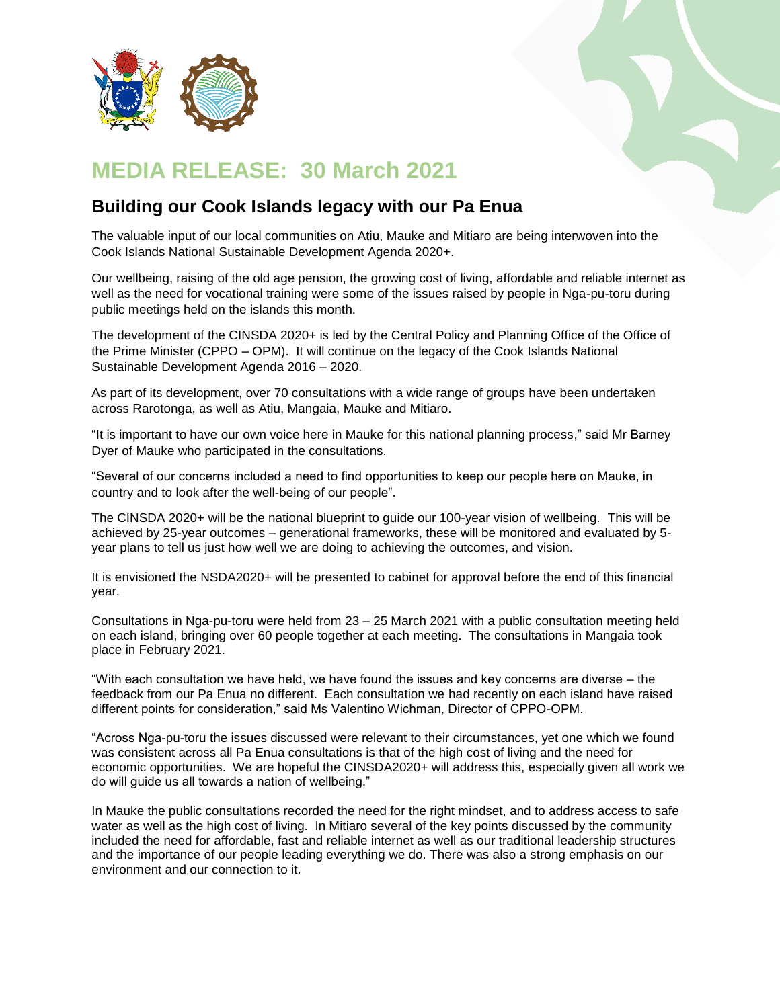

## **MEDIA RELEASE: 30 March 2021**

## **Building our Cook Islands legacy with our Pa Enua**

The valuable input of our local communities on Atiu, Mauke and Mitiaro are being interwoven into the Cook Islands National Sustainable Development Agenda 2020+.

Our wellbeing, raising of the old age pension, the growing cost of living, affordable and reliable internet as well as the need for vocational training were some of the issues raised by people in Nga-pu-toru during public meetings held on the islands this month.

The development of the CINSDA 2020+ is led by the Central Policy and Planning Office of the Office of the Prime Minister (CPPO – OPM). It will continue on the legacy of the Cook Islands National Sustainable Development Agenda 2016 – 2020.

As part of its development, over 70 consultations with a wide range of groups have been undertaken across Rarotonga, as well as Atiu, Mangaia, Mauke and Mitiaro.

"It is important to have our own voice here in Mauke for this national planning process," said Mr Barney Dyer of Mauke who participated in the consultations.

"Several of our concerns included a need to find opportunities to keep our people here on Mauke, in country and to look after the well-being of our people".

The CINSDA 2020+ will be the national blueprint to guide our 100-year vision of wellbeing. This will be achieved by 25-year outcomes – generational frameworks, these will be monitored and evaluated by 5 year plans to tell us just how well we are doing to achieving the outcomes, and vision.

It is envisioned the NSDA2020+ will be presented to cabinet for approval before the end of this financial year.

Consultations in Nga-pu-toru were held from 23 – 25 March 2021 with a public consultation meeting held on each island, bringing over 60 people together at each meeting. The consultations in Mangaia took place in February 2021.

"With each consultation we have held, we have found the issues and key concerns are diverse – the feedback from our Pa Enua no different. Each consultation we had recently on each island have raised different points for consideration," said Ms Valentino Wichman, Director of CPPO-OPM.

"Across Nga-pu-toru the issues discussed were relevant to their circumstances, yet one which we found was consistent across all Pa Enua consultations is that of the high cost of living and the need for economic opportunities. We are hopeful the CINSDA2020+ will address this, especially given all work we do will guide us all towards a nation of wellbeing."

In Mauke the public consultations recorded the need for the right mindset, and to address access to safe water as well as the high cost of living. In Mitiaro several of the key points discussed by the community included the need for affordable, fast and reliable internet as well as our traditional leadership structures and the importance of our people leading everything we do. There was also a strong emphasis on our environment and our connection to it.